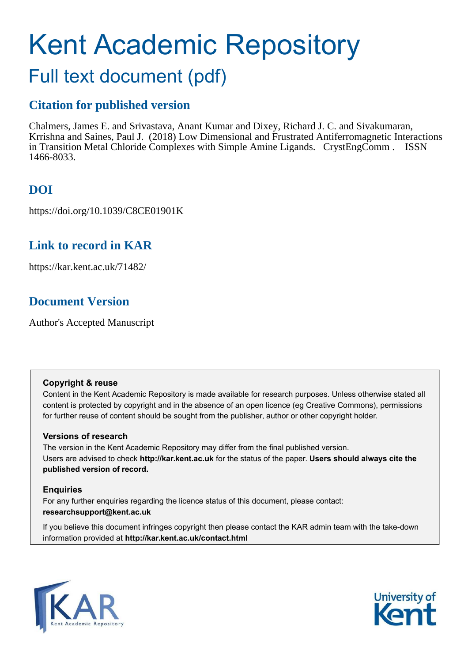# Kent Academic Repository

# Full text document (pdf)

# **Citation for published version**

Chalmers, James E. and Srivastava, Anant Kumar and Dixey, Richard J. C. and Sivakumaran, Krrishna and Saines, Paul J. (2018) Low Dimensional and Frustrated Antiferromagnetic Interactions in Transition Metal Chloride Complexes with Simple Amine Ligands. CrystEngComm . ISSN 1466-8033.

# **DOI**

https://doi.org/10.1039/C8CE01901K

# **Link to record in KAR**

https://kar.kent.ac.uk/71482/

# **Document Version**

Author's Accepted Manuscript

# **Copyright & reuse**

Content in the Kent Academic Repository is made available for research purposes. Unless otherwise stated all content is protected by copyright and in the absence of an open licence (eg Creative Commons), permissions for further reuse of content should be sought from the publisher, author or other copyright holder.

# **Versions of research**

The version in the Kent Academic Repository may differ from the final published version. Users are advised to check **http://kar.kent.ac.uk** for the status of the paper. **Users should always cite the published version of record.**

# **Enquiries**

For any further enquiries regarding the licence status of this document, please contact: **researchsupport@kent.ac.uk**

If you believe this document infringes copyright then please contact the KAR admin team with the take-down information provided at **http://kar.kent.ac.uk/contact.html**



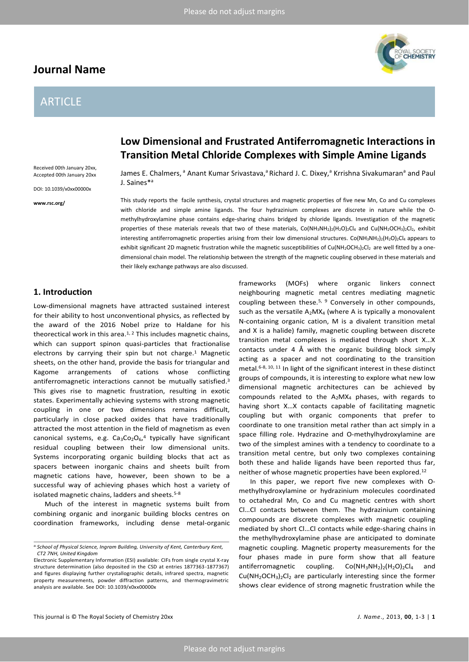# **Journal Name**

# ARTICLE

**Low Dimensional and Frustrated Antiferromagnetic Interactions in Transition Metal Chloride Complexes with Simple Amine Ligands** 

Received 00th January 20xx, Accepted 00th January 20xx

DOI: 10.1039/x0xx00000x

**www.rsc.org/** 

James E. Chalmers, <sup>a</sup> Anant Kumar Srivastava, <sup>a</sup> Richard J. C. Dixey, <sup>a</sup> Krrishna Sivakumaran<sup>a</sup> and Paul J. Saines\*<sup>a</sup>

This study reports the facile synthesis, crystal structures and magnetic properties of five new Mn, Co and Cu complexes with chloride and simple amine ligands. The four hydrazinium complexes are discrete in nature while the Omethylhydroxylamine phase contains edge-sharing chains bridged by chloride ligands. Investigation of the magnetic properties of these materials reveals that two of these materials, Co(NH<sub>3</sub>NH<sub>2</sub>)<sub>2</sub>(H<sub>2</sub>O)<sub>2</sub>Cl<sub>4</sub> and Cu(NH<sub>2</sub>OCH<sub>3</sub>)<sub>2</sub>Cl<sub>2</sub>, exhibit interesting antiferromagnetic properties arising from their low dimensional structures. Co(NH<sub>3</sub>NH<sub>2</sub>)<sub>2</sub>(H<sub>2</sub>O)<sub>2</sub>Cl<sub>4</sub> appears to exhibit significant 2D magnetic frustration while the magnetic susceptibilities of Cu(NH<sub>2</sub>OCH<sub>3</sub>)<sub>2</sub>Cl<sub>2</sub> are well fitted by a onedimensional chain model. The relationship between the strength of the magnetic coupling observed in these materials and their likely exchange pathways are also discussed.

## **1. Introduction**

Low-dimensional magnets have attracted sustained interest for their ability to host unconventional physics, as reflected by the award of the 2016 Nobel prize to Haldane for his theorectical work in this area. $1, 2$  This includes magnetic chains, which can support spinon quasi-particles that fractionalise electrons by carrying their spin but not charge.<sup>1</sup> Magnetic sheets, on the other hand, provide the basis for triangular and Kagome arrangements of cations whose conflicting antiferromagnetic interactions cannot be mutually satisfied.<sup>3</sup> This gives rise to magnetic frustration, resulting in exotic states. Experimentally achieving systems with strong magnetic coupling in one or two dimensions remains difficult, particularly in close packed oxides that have traditionally attracted the most attention in the field of magnetism as even canonical systems, e.g.  $Ca_3Co_2O_6$ ,<sup>4</sup> typically have significant residual coupling between their low dimensional units. Systems incorporating organic building blocks that act as spacers between inorganic chains and sheets built from magnetic cations have, however, been shown to be a successful way of achieving phases which host a variety of isolated magnetic chains, ladders and sheets.<sup>5-8</sup>

Much of the interest in magnetic systems built from combining organic and inorganic building blocks centres on coordination frameworks, including dense metal-organic

frameworks (MOFs) where organic linkers connect neighbouring magnetic metal centres mediating magnetic coupling between these.<sup>5, 9</sup> Conversely in other compounds, such as the versatile  $A_2$ MX<sub>4</sub> (where A is typically a monovalent N-containing organic cation, M is a divalent transition metal and X is a halide) family, magnetic coupling between discrete transition metal complexes is mediated through short X...X contacts under 4 Å with the organic building block simply acting as a spacer and not coordinating to the transition metal.6-8, 10, 11 In light of the significant interest in these distinct groups of compounds, it is interesting to explore what new low dimensional magnetic architectures can be achieved by compounds related to the  $A_2$ MX<sub>4</sub> phases, with regards to having short X...X contacts capable of facilitating magnetic coupling but with organic components that prefer to coordinate to one transition metal rather than act simply in a space filling role. Hydrazine and O-methylhydroxylamine are two of the simplest amines with a tendency to coordinate to a transition metal centre, but only two complexes containing both these and halide ligands have been reported thus far, neither of whose magnetic properties have been explored.<sup>12</sup>

In this paper, we report five new complexes with Omethylhydroxylamine or hydrazinium molecules coordinated to octahedral Mn, Co and Cu magnetic centres with short Cl...Cl contacts between them. The hydrazinium containing compounds are discrete complexes with magnetic coupling mediated by short Cl...Cl contacts while edge-sharing chains in the methylhydroxylamine phase are anticipated to dominate magnetic coupling. Magnetic property measurements for the four phases made in pure form show that all feature antiferromagnetic coupling.  $Co(NH_3NH_2)_2(H_2O)_2Cl_4$  and  $Cu(NH<sub>2</sub>OCH<sub>3</sub>)<sub>2</sub>Cl<sub>2</sub>$  are particularly interesting since the former shows clear evidence of strong magnetic frustration while the



*a.School of Physical Science, Ingram Building, University of Kent, Canterbury Kent, CT2 7NH, United Kingdom* 

Electronic Supplementary Information (ESI) available: CIFs from single crystal X-ray structure determination (also deposited in the CSD at entries 1877363-1877367) and figures displaying further crystallographic details, infrared spectra, magnetic property measurements, powder diffraction patterns, and thermogravimetric analysis are available. See DOI: 10.1039/x0xx00000x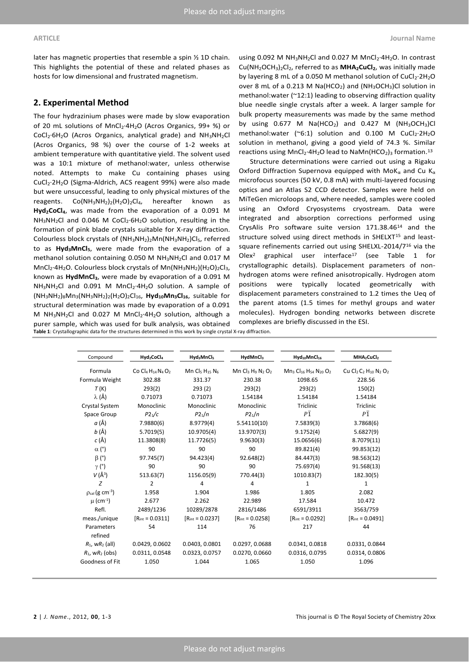later has magnetic properties that resemble a spin ½ 1D chain. This highlights the potential of these and related phases as hosts for low dimensional and frustrated magnetism.

# **2. Experimental Method**

The four hydrazinium phases were made by slow evaporation of 20 mL solutions of MnCl<sub>2</sub>·4H<sub>2</sub>O (Acros Organics, 99+ %) or CoCl2·6H2O (Acros Organics, analytical grade) and NH3NH2Cl (Acros Organics, 98 %) over the course of 1-2 weeks at ambient temperature with quantitative yield. The solvent used was a 10:1 mixture of methanol:water, unless otherwise noted. Attempts to make Cu containing phases using CuCl<sub>2</sub>·2H<sub>2</sub>O (Sigma-Aldrich, ACS reagent 99%) were also made but were unsuccessful, leading to only physical mixtures of the reagents. Co(NH<sub>3</sub>NH<sub>2</sub>)<sub>2</sub>(H<sub>2</sub>O)<sub>2</sub>Cl<sub>4</sub>, hereafter known as **Hyd2CoCl4**, was made from the evaporation of a 0.091 M  $NH<sub>3</sub>NH<sub>2</sub>Cl$  and 0.046 M CoCl<sub>2</sub>·6H<sub>2</sub>O solution, resulting in the formation of pink blade crystals suitable for X-ray diffraction. Colourless block crystals of (NH3NH2)2Mn(NH3NH2)Cl5, referred to as **Hyd3MnCl5**, were made from the evaporation of a methanol solution containing 0.050 M NH3NH2Cl and 0.017 M  $MnCl<sub>2</sub>·4H<sub>2</sub>O$ . Colourless block crystals of  $Mn(NH<sub>3</sub>NH<sub>2</sub>)(H<sub>2</sub>O)<sub>2</sub>Cl<sub>3</sub>$ , known as **HydMnCl3**, were made by evaporation of a 0.091 M  $NH<sub>3</sub>NH<sub>2</sub>Cl$  and 0.091 M MnCl<sub>2</sub>·4H<sub>2</sub>O solution. A sample of (NH3NH2)8Mn3(NH3NH2)2(H2O)2Cl16, **Hyd10Mn3Cl16**, suitable for structural determination was made by evaporation of a 0.091 M  $NH_3NH_2$ Cl and 0.027 M  $MnCl_2 \cdot 4H_2O$  solution, although a purer sample, which was used for bulk analysis, was obtained **Table 1**: Crystallographic data for the structures determined in this work by single crystal X-ray diffraction.

using 0.092 M  $NH_3NH_2Cl$  and 0.027 M  $MnCl_2 \cdot 4H_2O$ . In contrast Cu(NH2OCH3)2Cl2, referred to as **MHA2CuCl2**, was initially made by layering 8 mL of a 0.050 M methanol solution of  $CuCl<sub>2</sub>·2H<sub>2</sub>O$ over 8 mL of a 0.213 M Na(HCO<sub>2</sub>) and (NH<sub>3</sub>OCH<sub>3</sub>)Cl solution in methanol:water (~12:1) leading to observing diffraction quality blue needle single crystals after a week. A larger sample for bulk property measurements was made by the same method by using  $0.677$  M Na(HCO<sub>2</sub>) and  $0.427$  M (NH<sub>3</sub>OCH<sub>3</sub>)Cl methanol:water (~6:1) solution and  $0.100$  M CuCl<sub>2</sub>·2H<sub>2</sub>O solution in methanol, giving a good yield of 74.3 %. Similar reactions using  $MnCl_2.4H_2O$  lead to  $Namn(HCO_2)_3$  formation.<sup>13</sup>

Structure determinations were carried out using a Rigaku Oxford Diffraction Supernova equipped with MoK<sub>a</sub> and Cu K<sub>a</sub> microfocus sources (50 kV, 0.8 mA) with multi-layered focusing optics and an Atlas S2 CCD detector. Samples were held on MiTeGen microloops and, where needed, samples were cooled using an Oxford Cryosystems cryostream. Data were integrated and absorption corrections performed using CrysAlis Pro software suite version 171.38.4614 and the structure solved using direct methods in SHELXT<sup>15</sup> and leastsquare refinements carried out using SHELXL-2014/716 via the Olex<sup>2</sup> graphical user interface<sup>17</sup> (see Table 1 for crystallographic details). Displacement parameters of nonhydrogen atoms were refined anisotropically. Hydrogen atom positions were typically located geometrically with displacement parameters constrained to 1.2 times the Ueq of the parent atoms (1.5 times for methyl groups and water molecules). Hydrogen bonding networks between discrete complexes are briefly discussed in the ESI.

|                                 | Hyd <sub>2</sub> CoCl <sub>4</sub>                               | Hyd <sub>3</sub> MnCl <sub>5</sub>    | HydMnCl <sub>3</sub>                                   | Hyd <sub>10</sub> MnCl <sub>16</sub>                                           | MHA <sub>2</sub> CuCl <sub>2</sub>                                              |
|---------------------------------|------------------------------------------------------------------|---------------------------------------|--------------------------------------------------------|--------------------------------------------------------------------------------|---------------------------------------------------------------------------------|
| Compound                        |                                                                  |                                       |                                                        |                                                                                |                                                                                 |
| Formula                         | Co Cl <sub>4</sub> H <sub>14</sub> N <sub>4</sub> O <sub>2</sub> | Mn Cls H <sub>15</sub> N <sub>6</sub> | Mn $Cl_3$ H <sub>9</sub> N <sub>2</sub> O <sub>2</sub> | Mn <sub>3</sub> C <sub>16</sub> H <sub>54</sub> N <sub>20</sub> O <sub>2</sub> | Cu Cl <sub>2</sub> C <sub>2</sub> H <sub>10</sub> N <sub>2</sub> O <sub>2</sub> |
| Formula Weight                  | 302.88                                                           | 331.37                                | 230.38                                                 | 1098.65                                                                        | 228.56                                                                          |
| T(K)                            | 293(2)                                                           | 293(2)                                | 293(2)                                                 | 293(2)                                                                         | 150(2)                                                                          |
| λ (Å)                           | 0.71073                                                          | 0.71073                               | 1.54184                                                | 1.54184                                                                        | 1.54184                                                                         |
| <b>Crystal System</b>           | Monoclinic                                                       | Monoclinic                            | Monoclinic                                             | Triclinic                                                                      | Triclinic                                                                       |
| Space Group                     | P2 <sub>1</sub> /c                                               | P2 <sub>1</sub> /n                    | P2 <sub>1</sub> /n                                     | $P\overline{1}$                                                                | $P\overline{1}$                                                                 |
| a (Å)                           | 7.9880(6)                                                        | 8.9779(4)                             | 5.54110(10)                                            | 7.5839(3)                                                                      | 3.7868(6)                                                                       |
| <i>b</i> (Å)                    | 5.7019(5)                                                        | 10.9705(4)                            | 13.9707(3)                                             | 9.1752(4)                                                                      | 5.6827(9)                                                                       |
| c (Å)                           | 11.3808(8)                                                       | 11.7726(5)                            | 9.9630(3)                                              | 15.0656(6)                                                                     | 8.7079(11)                                                                      |
| $\alpha$ (°)                    | 90                                                               | 90                                    | 90                                                     | 89.821(4)                                                                      | 99.853(12)                                                                      |
| $\beta$ (°)                     | 97.745(7)                                                        | 94.423(4)                             | 92.648(2)                                              | 84.447(3)                                                                      | 98.563(12)                                                                      |
| $\gamma$ (°)                    | 90                                                               | 90                                    | 90                                                     | 75.697(4)                                                                      | 91.568(13)                                                                      |
| $V(\AA^3)$                      | 513.63(7)                                                        | 1156.05(9)                            | 770.44(3)                                              | 1010.83(7)                                                                     | 182.30(5)                                                                       |
| Z                               | 2                                                                | 4                                     | 4                                                      | $\mathbf{1}$                                                                   | $\mathbf{1}$                                                                    |
| $p_{cal}$ (g cm <sup>-3</sup> ) | 1.958                                                            | 1.904                                 | 1.986                                                  | 1.805                                                                          | 2.082                                                                           |
| $\mu$ (cm <sup>-1</sup> )       | 2.677                                                            | 2.262                                 | 22.989                                                 | 17.584                                                                         | 10.472                                                                          |
| Refl.                           | 2489/1236                                                        | 10289/2878                            | 2816/1486                                              | 6591/3911                                                                      | 3563/759                                                                        |
| meas./unique                    | $[R_{int} = 0.0311]$                                             | $[R_{\text{int}} = 0.0237]$           | $[R_{int} = 0.0258]$                                   | $[R_{\text{int}} = 0.0292]$                                                    | $[R_{\text{int}} = 0.0491]$                                                     |
| Parameters<br>refined           | 54                                                               | 114                                   | 76                                                     | 217                                                                            | 44                                                                              |
| $R_1$ , w $R_2$ (all)           | 0.0429, 0.0602                                                   | 0.0403, 0.0801                        | 0.0297, 0.0688                                         | 0.0341, 0.0818                                                                 | 0.0331, 0.0844                                                                  |
| $R_1$ , w $R_2$ (obs)           | 0.0311, 0.0548                                                   | 0.0323, 0.0757                        | 0.0270, 0.0660                                         | 0.0316, 0.0795                                                                 | 0.0314, 0.0806                                                                  |
| Goodness of Fit                 | 1.050                                                            | 1.044                                 | 1.065                                                  | 1.050                                                                          | 1.096                                                                           |

**2** | *J. Name*., 2012, **00**, 1-3 This journal is © The Royal Society of Chemistry 20xx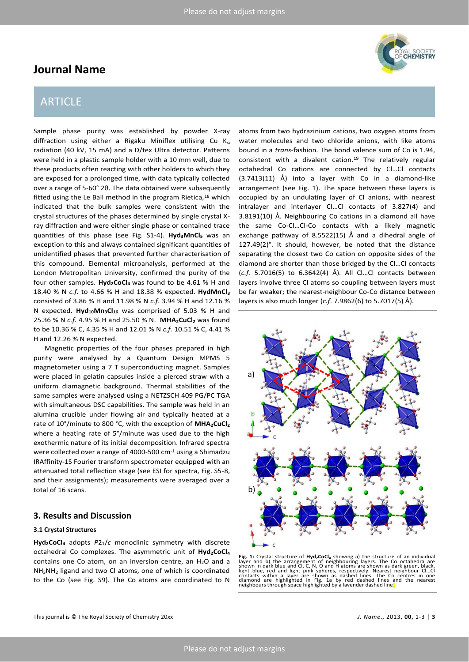# **Journal Name**

# ARTICLE

Sample phase purity was established by powder X-ray diffraction using either a Rigaku Miniflex utilising Cu  $K_{\alpha}$ radiation (40 kV, 15 mA) and a D/tex Ultra detector. Patterns were held in a plastic sample holder with a 10 mm well, due to these products often reacting with other holders to which they are exposed for a prolonged time, with data typically collected over a range of  $5-60^{\circ}$  2 $\theta$ . The data obtained were subsequently fitted using the Le Bail method in the program Rietica,<sup>18</sup> which indicated that the bulk samples were consistent with the crystal structures of the phases determined by single crystal Xray diffraction and were either single phase or contained trace quantities of this phase (see Fig. S1-4). **Hyd3MnCl5** was an exception to this and always contained significant quantities of unidentified phases that prevented further characterisation of this compound. Elemental microanalysis, performed at the London Metropolitan University, confirmed the purity of the four other samples. **Hyd2CoCl<sup>4</sup>** was found to be 4.61 % H and 18.40 % N *c.f.* to 4.66 % H and 18.38 % expected. **HydMnCl<sup>3</sup>** consisted of 3.86 % H and 11.98 % N *c.f*. 3.94 % H and 12.16 % N expected. **Hyd10Mn3Cl16** was comprised of 5.03 % H and 25.36 % N *c.f.* 4.95 % H and 25.50 % N. **MHA2CuCl2** was found to be 10.36 % C, 4.35 % H and 12.01 % N *c.f.* 10.51 % C, 4.41 % H and 12.26 % N expected.

Magnetic properties of the four phases prepared in high purity were analysed by a Quantum Design MPMS 5 magnetometer using a 7 T superconducting magnet. Samples were placed in gelatin capsules inside a pierced straw with a uniform diamagnetic background. Thermal stabilities of the same samples were analysed using a NETZSCH 409 PG/PC TGA with simultaneous DSC capabilities. The sample was held in an alumina crucible under flowing air and typically heated at a rate of 10°/minute to 800 °C, with the exception of **MHA2CuCl<sup>2</sup>** where a heating rate of 5°/minute was used due to the high exothermic nature of its initial decomposition. Infrared spectra were collected over a range of 4000-500 cm<sup>-1</sup> using a Shimadzu IRAffinity-1S Fourier transform spectrometer equipped with an attenuated total reflection stage (see ESI for spectra, Fig. S5-8, and their assignments); measurements were averaged over a total of 16 scans.

### **3. Results and Discussion**

#### **3.1 Crystal Structures**

**Hyd2CoCl4** adopts *P*21/*c* monoclinic symmetry with discrete octahedral Co complexes. The asymmetric unit of **Hyd2CoCl<sup>4</sup>** contains one Co atom, on an inversion centre, an  $H_2O$  and a NH3NH2 ligand and two Cl atoms, one of which is coordinated to the Co (see Fig. S9). The Co atoms are coordinated to N







atoms from two hydrazinium cations, two oxygen atoms from water molecules and two chloride anions, with like atoms bound in a *trans*-fashion. The bond valence sum of Co is 1.94, consistent with a divalent cation.19 The relatively regular octahedral Co cations are connected by Cl...Cl contacts (3.7413(11) Å) into a layer with Co in a diamond-like arrangement (see Fig. 1). The space between these layers is occupied by an undulating layer of Cl anions, with nearest intralayer and interlayer Cl...Cl contacts of 3.827(4) and 3.8191(10) Å. Neighbouring Co cations in a diamond all have the same Co-Cl...Cl-Co contacts with a likely magnetic exchange pathway of 8.5522(15) Å and a dihedral angle of 127.49(2)°. It should, however, be noted that the distance separating the closest two Co cation on opposite sides of the diamond are shorter than those bridged by the Cl...Cl contacts (*c.f.* 5.7016(5) to 6.3642(4) Å). All Cl...Cl contacts between layers involve three Cl atoms so coupling between layers must be far weaker; the nearest-neighbour Co-Co distance between layers is also much longer (*c.f*. 7.9862(6) to 5.7017(5) Å).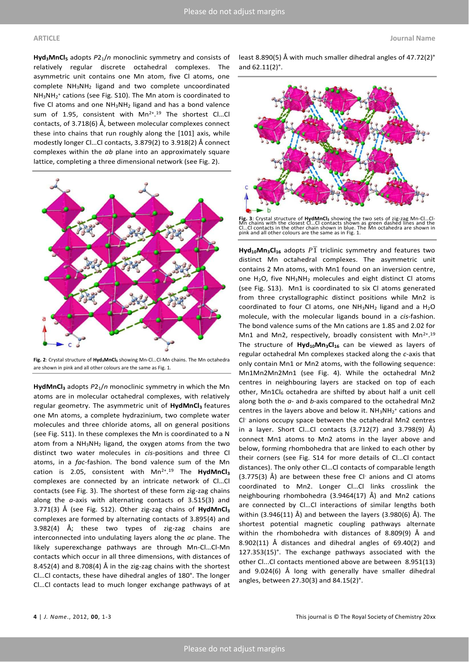**Hyd3MnCl5** adopts *P*21/*n* monoclinic symmetry and consists of relatively regular discrete octahedral complexes. The asymmetric unit contains one Mn atom, five Cl atoms, one complete NH3NH2 ligand and two complete uncoordinated NH3NH<sup>2</sup> + cations (see Fig. S10). The Mn atom is coordinated to five Cl atoms and one NH3NH2 ligand and has a bond valence sum of 1.95, consistent with Mn<sup>2+</sup>.<sup>19</sup> The shortest Cl...Cl contacts, of 3.718(6) Å, between molecular complexes connect these into chains that run roughly along the [101] axis, while modestly longer Cl...Cl contacts, 3.879(2) to 3.918(2) Å connect complexes within the *ab* plane into an approximately square lattice, completing a three dimensional network (see Fig. 2).



Fig. 2: Crystal structure of Hyd<sub>3</sub>MnCl<sub>5</sub> showing Mn-Cl...Cl-Mn chains. The Mn octahedra are shown in pink and all other colours are the same as Fig. 1.

**HydMnCl<sup>3</sup>** adopts *P*21/*n* monoclinic symmetry in which the Mn atoms are in molecular octahedral complexes, with relatively regular geometry. The asymmetric unit of **HydMnCl<sup>3</sup>** features one Mn atoms, a complete hydrazinium, two complete water molecules and three chloride atoms, all on general positions (see Fig. S11). In these complexes the Mn is coordinated to a N atom from a NH3NH2 ligand, the oxygen atoms from the two distinct two water molecules in *cis*-positions and three Cl atoms, in a *fac*-fashion. The bond valence sum of the Mn cation is 2.05, consistent with Mn2+ . <sup>19</sup> The **HydMnCl<sup>3</sup>** complexes are connected by an intricate network of Cl...Cl contacts (see Fig. 3). The shortest of these form zig-zag chains along the *a*-axis with alternating contacts of 3.515(3) and 3.771(3) Å (see Fig. S12). Other zig-zag chains of **HydMnCl<sup>3</sup>** complexes are formed by alternating contacts of 3.895(4) and 3.982(4) Å; these two types of zig-zag chains are interconnected into undulating layers along the *ac* plane. The likely superexchange pathways are through Mn-Cl...Cl-Mn contacts which occur in all three dimensions, with distances of 8.452(4) and 8.708(4) Å in the zig-zag chains with the shortest Cl...Cl contacts, these have dihedral angles of 180°. The longer Cl...Cl contacts lead to much longer exchange pathways of at

least 8.890(5) Å with much smaller dihedral angles of 47.72(2)° and 62.11(2)°.



Fig. 3: Crystal structure of HydMnCl, showing the two sets of zig-zag Mn-Cl...Cl-<br>Mn chains with the closest Cl...Cl contacts shown as green dashed lines and the<br>Cl...Cl contacts in the other chain shown in blue. The Mn oc pink and all other colours are the same as in Fig. 1.

 $Hyd<sub>10</sub>Mn<sub>3</sub>Cl<sub>16</sub>$  adopts  $P\overline{1}$  triclinic symmetry and features two distinct Mn octahedral complexes. The asymmetric unit contains 2 Mn atoms, with Mn1 found on an inversion centre, one  $H_2O$ , five  $NH_3NH_2$  molecules and eight distinct Cl atoms (see Fig. S13). Mn1 is coordinated to six Cl atoms generated from three crystallographic distinct positions while Mn2 is coordinated to four Cl atoms, one  $NH_3NH_2$  ligand and a  $H_2O$ molecule, with the molecular ligands bound in a *cis*-fashion. The bond valence sums of the Mn cations are 1.85 and 2.02 for Mn1 and Mn2, respectively, broadly consistent with Mn<sup>2+</sup>.<sup>19</sup> The structure of **Hyd10Mn3Cl16** can be viewed as layers of regular octahedral Mn complexes stacked along the *c*-axis that only contain Mn1 or Mn2 atoms, with the following sequence: Mn1Mn2Mn2Mn1 (see Fig. 4). While the octahedral Mn2 centres in neighbouring layers are stacked on top of each other, Mn1Cl $_6$  octahedra are shifted by about half a unit cell along both the *a*- and *b*-axis compared to the octahedral Mn2 centres in the layers above and below it.  $NH_3NH_2^+$  cations and Cl- anions occupy space between the octahedral Mn2 centres in a layer. Short Cl...Cl contacts  $(3.712(7)$  and  $3.798(9)$  Å) connect Mn1 atoms to Mn2 atoms in the layer above and below, forming rhombohedra that are linked to each other by their corners (see Fig. S14 for more details of Cl...Cl contact distances). The only other Cl...Cl contacts of comparable length (3.775(3) Å) are between these free Cl<sup>-</sup> anions and Cl atoms coordinated to Mn2. Longer Cl...Cl links crosslink the neighbouring rhombohedra (3.9464(17) Å) and Mn2 cations are connected by Cl...Cl interactions of similar lengths both within (3.946(11) Å) and between the layers (3.980(6) Å). The shortest potential magnetic coupling pathways alternate within the rhombohedra with distances of 8.809(9) Å and 8.902(11) Å distances and dihedral angles of 69.40(2) and 127.353(15)°. The exchange pathways associated with the other Cl...Cl contacts mentioned above are between 8.951(13) and 9.024(6) Å long with generally have smaller dihedral angles, between 27.30(3) and 84.15(2)°.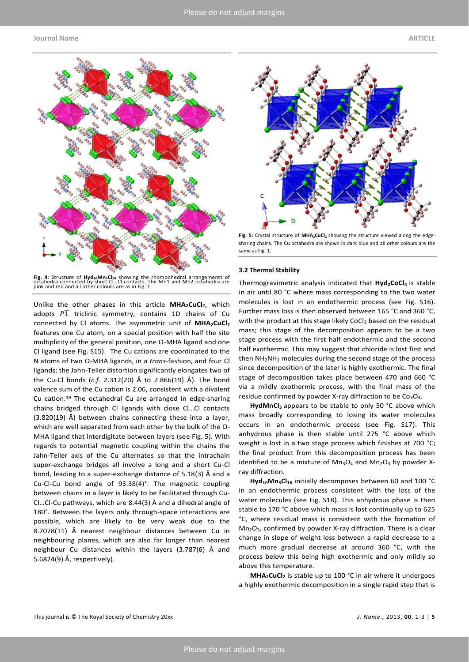#### **Journal Name ARTICLE**



Fig. 4: Structure of Hyd<sub>10</sub>Mn<sub>3</sub>Cl<sub>16</sub> showing the rhombohedral arrangements of<br>octahedra connected by short Cl...Cl contacts. The Mn1 and Mn2 octahedra are<br>pink and red and all other colours are as in Fig. 1.

Unlike the other phases in this article **MHA2CuCl2**, which adopts  $P\overline{1}$  triclinic symmetry, contains 1D chains of Cu connected by Cl atoms. The asymmetric unit of **MHA2CuCl<sup>2</sup>** features one Cu atom, on a special position with half the site multiplicity of the general position, one O-MHA ligand and one Cl ligand (see Fig. S15). The Cu cations are coordinated to the N atoms of two O-MHA ligands, in a *trans*-fashion, and four Cl ligands; the Jahn-Teller distortion significantly elongates two of the Cu-Cl bonds (*c.f.* 2.312(20) Å to 2.866(19) Å). The bond valence sum of the Cu cation is 2.06, consistent with a divalent Cu cation.19 The octahedral Cu are arranged in edge-sharing chains bridged through CI ligands with close CI...CI contacts (3.820(19) Å) between chains connecting these into a layer, which are well separated from each other by the bulk of the O-MHA ligand that interdigitate between layers (see Fig. 5). With regards to potential magnetic coupling within the chains the Jahn-Teller axis of the Cu alternates so that the intrachain super-exchange bridges all involve a long and a short Cu-Cl bond, leading to a super-exchange distance of 5.18(3) Å and a Cu-Cl-Cu bond angle of 93.38(4)°. The magnetic coupling between chains in a layer is likely to be facilitated through Cu-Cl...Cl-Cu pathways, which are 8.44(3) Å and a dihedral angle of 180°. Between the layers only through-space interactions are possible, which are likely to be very weak due to the 8.7078(11) Å nearest neighbour distances between Cu in neighbouring planes, which are also far longer than nearest neighbour Cu distances within the layers (3.787(6) Å and 5.6824(9) Å, respectively).



**Fig. 5:** Crystal structure of **MHA2CuCl2** showing the structure viewed along the edgesharing chains. The Cu octahedra are shown in dark blue and all other colours are the same as Fig. 1.

#### **3.2 Thermal Stability**

Thermogravimetric analysis indicated that **Hyd2CoCl<sup>4</sup>** is stable in air until 80 °C where mass corresponding to the two water molecules is lost in an endothermic process (see Fig. S16). Further mass loss is then observed between 165 °C and 360 °C, with the product at this stage likely CoCl<sub>2</sub> based on the residual mass; this stage of the decomposition appears to be a two stage process with the first half endothermic and the second half exothermic. This may suggest that chloride is lost first and then NH2NH2 molecules during the second stage of the process since decomposition of the later is highly exothermic. The final stage of decomposition takes place between 470 and 660 °C via a mildly exothermic process, with the final mass of the residue confirmed by powder X-ray diffraction to be  $Co<sub>3</sub>O<sub>4</sub>$ .

**HydMnCl3** appears to be stable to only 50 °C above which mass broadly corresponding to losing its water molecules occurs in an endothermic process (see Fig. S17). This anhydrous phase is then stable until 275 °C above which weight is lost in a two stage process which finishes at 700 °C; the final product from this decomposition process has been identified to be a mixture of  $Mn_3O_4$  and  $Mn_2O_3$  by powder Xray diffraction.

**Hyd10Mn3Cl16** initially decomposes between 60 and 100 °C in an endothermic process consistent with the loss of the water molecules (see Fig. S18). This anhydrous phase is then stable to 170 °C above which mass is lost continually up to 625 °C, where residual mass is consistent with the formation of  $Mn<sub>2</sub>O<sub>3</sub>$ , confirmed by powder X-ray diffraction. There is a clear change in slope of weight loss between a rapid decrease to a much more gradual decrease at around 360 °C, with the process below this being high exothermic and only mildly so above this temperature.

**MHA2CuCl2** is stable up to 100 °C in air where it undergoes a highly exothermic decomposition in a single rapid step that is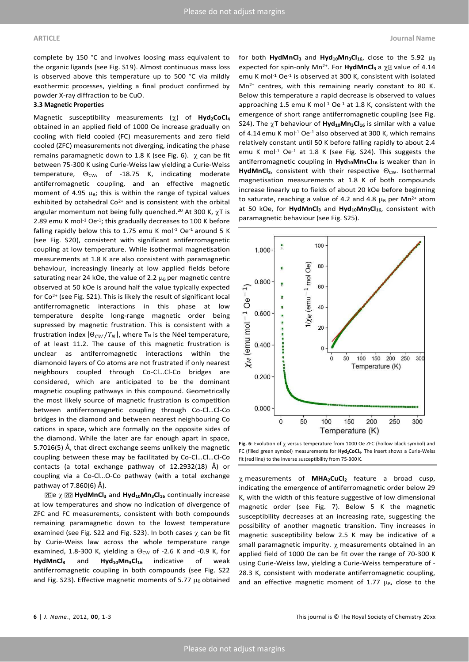complete by 150 °C and involves loosing mass equivalent to the organic ligands (see Fig. S19). Almost continuous mass loss is observed above this temperature up to 500 °C via mildly exothermic processes, yielding a final product confirmed by powder X-ray diffraction to be CuO.

#### **3.3 Magnetic Properties**

Magnetic susceptibility measurements (χ) of **Hyd<sub>2</sub>CoCl<sub>4</sub>** obtained in an applied field of 1000 Oe increase gradually on cooling with field cooled (FC) measurements and zero field cooled (ZFC) measurements not diverging, indicating the phase remains paramagnetic down to 1.8 K (see Fig. 6).  $\chi$  can be fit between 75-300 K using Curie-Weiss law yielding a Curie-Weiss temperature,  $\Theta_{\text{CW}}$ , of -18.75 K, indicating moderate antiferromagnetic coupling, and an effective magnetic moment of 4.95  $\mu$ <sub>B</sub>; this is within the range of typical values exhibited by octahedral  $Co^{2+}$  and is consistent with the orbital angular momentum not being fully quenched.<sup>20</sup> At 300 K,  $\gamma T$  is 2.89 emu K mol<sup>-1</sup> Oe<sup>-1</sup>; this gradually decreases to 100 K before falling rapidly below this to 1.75 emu K mol $^{-1}$  Oe $^{-1}$  around 5 K (see Fig. S20), consistent with significant antiferromagnetic coupling at low temperature. While isothermal magnetisation measurements at 1.8 K are also consistent with paramagnetic behaviour, increasingly linearly at low applied fields before saturating near 24 kOe, the value of 2.2  $\mu_B$  per magnetic centre observed at 50 kOe is around half the value typically expected for Co2+ (see Fig. S21). This is likely the result of significant local antiferromagnetic interactions in this phase at low temperature despite long-range magnetic order being supressed by magnetic frustration. This is consistent with a frustration index  $|\Theta_{CW}/T_N|$ , where T<sub>N</sub> is the Néel temperature, of at least 11.2. The cause of this magnetic frustration is unclear as antiferromagnetic interactions within the diamonoid layers of Co atoms are not frustrated if only nearest neighbours coupled through Co-Cl...Cl-Co bridges are considered, which are anticipated to be the dominant magnetic coupling pathways in this compound. Geometrically the most likely source of magnetic frustration is competition between antiferromagnetic coupling through Co-Cl...Cl-Co bridges in the diamond and between nearest neighbouring Co cations in space, which are formally on the opposite sides of the diamond. While the later are far enough apart in space, 5.7016(5) Å, that direct exchange seems unlikely the magnetic coupling between these may be facilitated by Co-Cl...Cl...Cl-Co contacts (a total exchange pathway of 12.2932(18) Å) or coupling via a Co-Cl...O-Co pathway (with a total exchange pathway of 7.860(6) Å).

e **HydMnCl3** and **Hyd10Mn3Cl16** continually increase at low temperatures and show no indication of divergence of ZFC and FC measurements, consistent with both compounds remaining paramagnetic down to the lowest temperature examined (see Fig. S22 and Fig. S23). In both cases  $\chi$  can be fit by Curie-Weiss law across the whole temperature range examined, 1.8-300 K, yielding a  $\Theta_{\text{CW}}$  of -2.6 K and -0.9 K, for **HydMnCl3** and **Hyd10Mn3Cl<sup>16</sup>** indicative of weak antiferromagnetic coupling in both compounds (see Fig. S22 and Fig. S23). Effective magnetic moments of 5.77  $\mu_B$  obtained

for both **HydMnCl**<sup>3</sup> and **Hyd**<sup>10</sup>Mn<sub>3</sub>Cl<sub>16</sub>, close to the 5.92  $\mu_B$ expected for spin-only Mn<sup>2+</sup>. For **HydMnCl**<sup>3</sup> a  $\chi$ <sup>2</sup> value of 4.14 emu K mol<sup>-1</sup> Oe<sup>-1</sup> is observed at 300 K, consistent with isolated  $Mn^{2+}$  centres, with this remaining nearly constant to 80 K. Below this temperature a rapid decrease is observed to values approaching 1.5 emu K mol $^{-1}$  Oe $^{-1}$  at 1.8 K, consistent with the emergence of short range antiferromagnetic coupling (see Fig. S24). The  $\chi$ T behaviour of  $Hyd_{10}Mn_{3}Cl_{16}$  is similar with a value of 4.14 emu K mol<sup>-1</sup> Oe<sup>-1</sup> also observed at 300 K, which remains relatively constant until 50 K before falling rapidly to about 2.4 emu K mol<sup>-1</sup> Oe<sup>-1</sup> at 1.8 K (see Fig. S24). This suggests the antiferromagnetic coupling in **Hyd10Mn3Cl<sup>16</sup>** is weaker than in **HydMnCl**<sub>3</sub>, consistent with their respective  $\Theta_{\text{CW}}$ . Isothermal magnetisation measurements at 1.8 K of both compounds increase linearly up to fields of about 20 kOe before beginning to saturate, reaching a value of 4.2 and 4.8  $\mu_B$  per Mn<sup>2+</sup> atom at 50 kOe, for **HydMnCl3** and **Hyd10Mn3Cl16**, consistent with paramagnetic behaviour (see Fig. S25).



Fig. 6: Evolution of  $\chi$  versus temperature from 1000 Oe ZFC (hollow black symbol) and FC (filled green symbol) measurements for **Hyd2CoCl4**. The insert shows a Curie-Weiss fit (red line) to the inverse susceptibility from 75-300 K.

measurements of **MHA2CuCl2** feature a broad cusp, indicating the emergence of antiferromagnetic order below 29 K, with the width of this feature suggestive of low dimensional magnetic order (see Fig. 7). Below 5 K the magnetic susceptibility decreases at an increasing rate, suggesting the possibility of another magnetic transition. Tiny increases in magnetic susceptibility below 2.5 K may be indicative of a small paramagnetic impurity.  $\chi$  measurements obtained in an applied field of 1000 Oe can be fit over the range of 70-300 K using Curie-Weiss law, yielding a Curie-Weiss temperature of - 28.3 K, consistent with moderate antiferromagnetic coupling, and an effective magnetic moment of 1.77  $\mu_B$ , close to the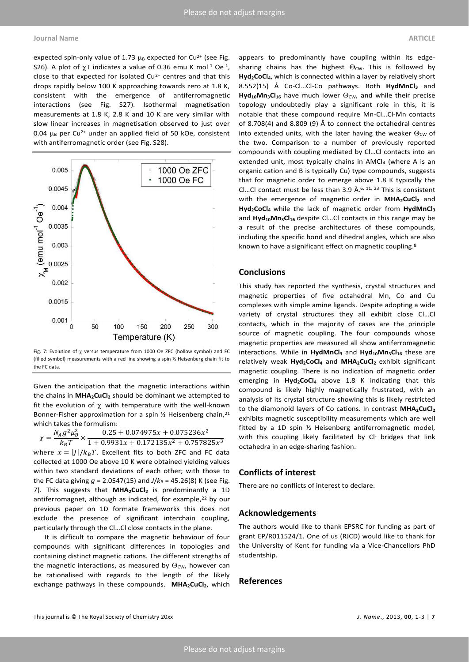expected spin-only value of 1.73  $\mu_B$  expected for Cu<sup>2+</sup> (see Fig. S26). A plot of  $\chi$ T indicates a value of 0.36 emu K mol<sup>-1</sup> Oe<sup>-1</sup>, close to that expected for isolated  $Cu^{2+}$  centres and that this drops rapidly below 100 K approaching towards zero at 1.8 K, consistent with the emergence of antiferromagnetic interactions (see Fig. S27). Isothermal magnetisation measurements at 1.8 K, 2.8 K and 10 K are very similar with slow linear increases in magnetisation observed to just over 0.04  $\mu_B$  per Cu<sup>2+</sup> under an applied field of 50 kOe, consistent with antiferromagnetic order (see Fig. S28).



Fig. 7: Evolution of  $\gamma$  versus temperature from 1000 Oe ZFC (hollow symbol) and FC (filled symbol) measurements with a red line showing a spin ½ Heisenberg chain fit to the FC data.

Given the anticipation that the magnetic interactions within the chains in **MHA2CuCl2** should be dominant we attempted to fit the evolution of  $\chi$  with temperature with the well-known Bonner-Fisher approximation for a spin 1/2 Heisenberg chain, 21 which takes the formulism:

$$
\chi = \frac{N_A g^2 \mu_B^2}{k_B T} \times \frac{0.25 + 0.074975 x + 0.075236 x^2}{1 + 0.9931 x + 0.172135 x^2 + 0.757825 x^3}
$$

 $k_B T$  1 + 0.9931x + 0.172135x<sup>2</sup> + 0.757825x<sup>3</sup><br>where  $x = |J|/k_B T$ . Excellent fits to both ZFC and FC data collected at 1000 Oe above 10 K were obtained yielding values within two standard deviations of each other; with those to the FC data giving  $g = 2.0547(15)$  and  $J/k_B = 45.26(8)$  K (see Fig. 7). This suggests that **MHA2CuCl2** is predominantly a 1D antiferromagnet, although as indicated, for example,<sup>22</sup> by our previous paper on 1D formate frameworks this does not exclude the presence of significant interchain coupling, particularly through the Cl...Cl close contacts in the plane.

It is difficult to compare the magnetic behaviour of four compounds with significant differences in topologies and containing distinct magnetic cations. The different strengths of the magnetic interactions, as measured by  $\Theta_{\text{CW}}$ , however can be rationalised with regards to the length of the likely exchange pathways in these compounds. **MHA2CuCl2**, which appears to predominantly have coupling within its edgesharing chains has the highest  $\Theta_{\text{CW}}$ . This is followed by **Hyd2CoCl4**, which is connected within a layer by relatively short 8.552(15) Å Co-Cl...Cl-Co pathways. Both **HydMnCl**<sub>3</sub> and Hyd<sub>10</sub>Mn<sub>3</sub>Cl<sub>16</sub> have much lower  $\Theta_{\text{CW}}$ , and while their precise topology undoubtedly play a significant role in this, it is notable that these compound require Mn-Cl...Cl-Mn contacts of 8.708(4) and 8.809 (9) Å to connect the octahedral centres into extended units, with the later having the weaker  $\Theta_{\text{CW}}$  of the two. Comparison to a number of previously reported compounds with coupling mediated by Cl...Cl contacts into an extended unit, most typically chains in AMCl4 (where A is an organic cation and B is typically Cu) type compounds, suggests that for magnetic order to emerge above 1.8 K typically the Cl...Cl contact must be less than 3.9  $\AA$ .<sup>6, 11, 23</sup> This is consistent with the emergence of magnetic order in **MHA2CuCl2** and **Hyd2CoCl<sup>4</sup>** while the lack of magnetic order from **HydMnCl<sup>3</sup>** and Hyd<sub>10</sub>Mn<sub>3</sub>Cl<sub>16</sub> despite Cl...Cl contacts in this range may be a result of the precise architectures of these compounds, including the specific bond and dihedral angles, which are also known to have a significant effect on magnetic coupling. 8

### **Conclusions**

This study has reported the synthesis, crystal structures and magnetic properties of five octahedral Mn, Co and Cu complexes with simple amine ligands. Despite adopting a wide variety of crystal structures they all exhibit close Cl...Cl contacts, which in the majority of cases are the principle source of magnetic coupling. The four compounds whose magnetic properties are measured all show antiferromagnetic interactions. While in **HydMnCl3** and **Hyd10Mn3Cl16** these are relatively weak **Hyd2CoCl4** and **MHA2CuCl2** exhibit significant magnetic coupling. There is no indication of magnetic order emerging in **Hyd2CoCl4** above 1.8 K indicating that this compound is likely highly magnetically frustrated, with an analysis of its crystal structure showing this is likely restricted to the diamonoid layers of Co cations. In contrast **MHA2CuCl<sup>2</sup>** exhibits magnetic susceptibility measurements which are well fitted by a 1D spin ½ Heisenberg antiferromagnetic model, with this coupling likely facilitated by CI<sup>-</sup> bridges that link octahedra in an edge-sharing fashion.

### **Conflicts of interest**

There are no conflicts of interest to declare.

#### **Acknowledgements**

The authors would like to thank EPSRC for funding as part of grant EP/R011524/1. One of us (RJCD) would like to thank for the University of Kent for funding via a Vice-Chancellors PhD studentship.

#### **References**